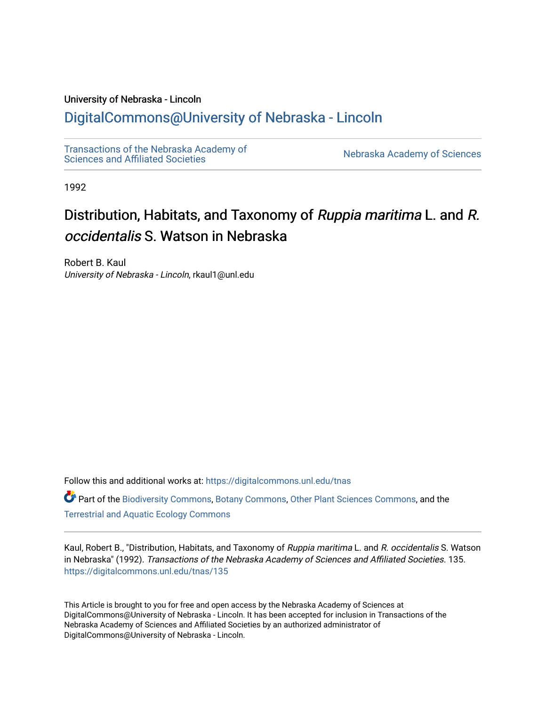# University of Nebraska - Lincoln

# [DigitalCommons@University of Nebraska - Lincoln](https://digitalcommons.unl.edu/)

[Transactions of the Nebraska Academy of](https://digitalcommons.unl.edu/tnas)  Transactions of the Nebraska Academy of Sciences<br>Sciences and Affiliated Societies

1992

# Distribution, Habitats, and Taxonomy of Ruppia maritima L. and R. occidentalis S. Watson in Nebraska

Robert B. Kaul University of Nebraska - Lincoln, rkaul1@unl.edu

Follow this and additional works at: [https://digitalcommons.unl.edu/tnas](https://digitalcommons.unl.edu/tnas?utm_source=digitalcommons.unl.edu%2Ftnas%2F135&utm_medium=PDF&utm_campaign=PDFCoverPages) 

Part of the [Biodiversity Commons](http://network.bepress.com/hgg/discipline/1127?utm_source=digitalcommons.unl.edu%2Ftnas%2F135&utm_medium=PDF&utm_campaign=PDFCoverPages), [Botany Commons](http://network.bepress.com/hgg/discipline/104?utm_source=digitalcommons.unl.edu%2Ftnas%2F135&utm_medium=PDF&utm_campaign=PDFCoverPages), [Other Plant Sciences Commons,](http://network.bepress.com/hgg/discipline/109?utm_source=digitalcommons.unl.edu%2Ftnas%2F135&utm_medium=PDF&utm_campaign=PDFCoverPages) and the [Terrestrial and Aquatic Ecology Commons](http://network.bepress.com/hgg/discipline/20?utm_source=digitalcommons.unl.edu%2Ftnas%2F135&utm_medium=PDF&utm_campaign=PDFCoverPages) 

Kaul, Robert B., "Distribution, Habitats, and Taxonomy of Ruppia maritima L. and R. occidentalis S. Watson in Nebraska" (1992). Transactions of the Nebraska Academy of Sciences and Affiliated Societies. 135. [https://digitalcommons.unl.edu/tnas/135](https://digitalcommons.unl.edu/tnas/135?utm_source=digitalcommons.unl.edu%2Ftnas%2F135&utm_medium=PDF&utm_campaign=PDFCoverPages) 

This Article is brought to you for free and open access by the Nebraska Academy of Sciences at DigitalCommons@University of Nebraska - Lincoln. It has been accepted for inclusion in Transactions of the Nebraska Academy of Sciences and Affiliated Societies by an authorized administrator of DigitalCommons@University of Nebraska - Lincoln.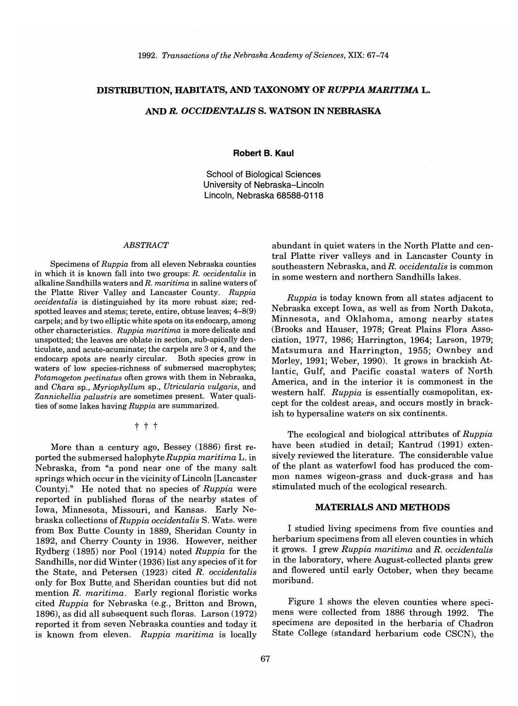# **DISTRffiUTION, HABITATS, AND TAXONOMY OF** *RUPPIA MARITIMA* **L.**

#### AND *R. OCCIDENTALIS* **S. WATSON IN NEBRASKA**

**Robert B. Kaul** 

School of Biological Sciences University of Nebraska-Lincoln Lincoln, Nebraska 68588-0118

#### *ABSTRACT*

Specimens of *Ruppia* from all eleven Nebraska counties in which it is known fall into two groups: *R. occidentalis* in alkaline Sandhills waters and *R. maritima* in saline waters of the Platte River Valley and Lancaster County. *Ruppia occidentalis* is distinguished by its more robust size; redspotted leaves and stems; terete, entire, obtuse leaves; 4-8(9) carpels; and by two elliptic white spots on its endocarp, among other characteristics. *Ruppia maritima* is more delicate and unspotted; the leaves are oblate in section, sub-apically denticulate, and acute-acuminate; the carpels are 3 or 4, and the endocarp spots are nearly circular. Both species grow in waters of low species-richness of submersed macrophytes; *Potamogeton pectinatus* often grows with them in Nebraska, and *Chara* sp., *Myriophyllum* sp., *Utricularia vulgaris,* and *Zannichellia palustris* are sometimes present. Water qualities of some lakes having *Ruppia* are summarized.

# t t t

More than a century ago, Bessey (1886) first reported the submersed halophyte *Ruppia maritima* L. in Nebraska, from "a pond near one of the many salt springs which occur in the vicinity of Lincoln [Lancaster CountyJ." He noted that no species of *Ruppia* were reported in published floras of the nearby states of Iowa, Minnesota, Missouri, and Kansas. Early Nebraska collections of *Ruppia occidentalis* S. Wats. were from Box Butte County in 1889, Sheridan County in 1892, and Cherry County in 1936. However, neither Rydberg (1895) nor Pool (1914) noted *Ruppia* for the Sandhills, nor did Winter (1936) list any species of it for the State, and Petersen (1923) cited *R. occidentalis*  only for Box Butte. and Sheridan counties but did not mention *R. maritima.* Early regional floristic works cited *Ruppia* for Nebraska (e.g., Britton and Brown, 1896), as did all subsequent such floras. Larson (1972) reported it from seven Nebraska counties and today it is known from eleven. *Ruppia maritima* is locally

abundant in quiet waters in the North Platte and central Platte river valleys and in Lancaster County in southeastern Nebraska, and *R. occidentalis* is common in some western and northern Sandhills lakes.

*Ruppia* is today known from all states adjacent to Nebraska except Iowa, as well as from North Dakota, Minnesota, and Oklahoma, among nearby states (Brooks and Hauser, 1978; Great Plains Flora Association, 1977, 1986; Harrington, 1964; Larson, 1979; Matsumura and Harrington, 1955; Ownbey and Morley, 1991; Weber, 1990). It grows in brackish Atlantic, Gulf, and Pacific coastal waters of North America, and in the interior it is commonest in the western half. *Ruppia* is essentially cosmopolitan, except for the coldest areas, and occurs mostly in brackish to hypersaline waters on six continents.

The ecological and biological attributes of *Ruppia*  have been studied in detail; Kantrud (1991) extensively reviewed the literature. The considerable value of the plant as waterfowl food has produced the common names wigeon-grass and duck-grass and has stimulated much of the ecological research.

# **MATERIALS AND METHODS**

I studied living specimens from five counties and herbarium specimens from all eleven counties in which it grows. I grew *Ruppia maritima* and *R. occidentalis*  in the laboratory, where August-collected plants grew and flowered until early October, when they became moribund.

Figure 1 shows the eleven counties where specimens were collected from 1886 through 1992. The specimens are deposited in the herbaria of Chadron State College (standard herbarium code CSCN), the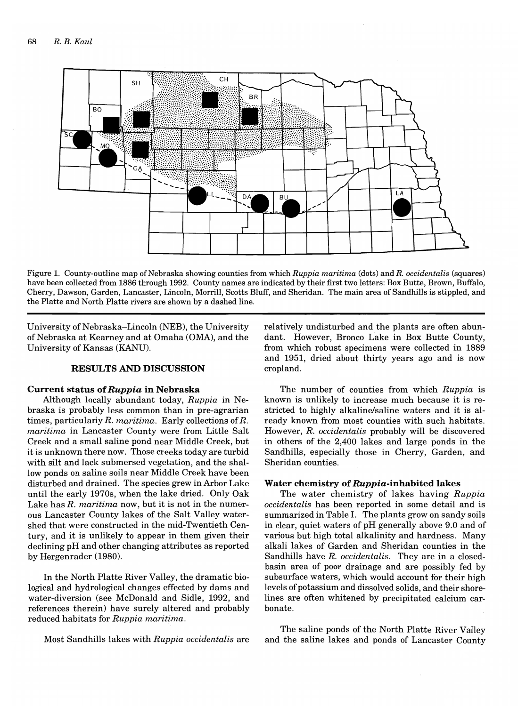

Figure 1. County-outline map of Nebraska showing counties from which *Ruppia maritima* (dots) and *R. occidentalis* (squares) have been collected from 1886 through 1992. County names are indicated by their first two letters: Box Butte, Brown, Buffalo, Cherry, Dawson, Garden, Lancaster, Lincoln, Morrill, Scotts Bluff, and Sheridan. The main area of Sandhills is stippled, and the Platte and North Platte rivers are shown by a dashed line.

University of Nebraska-Lincoln (NEB), the University of Nebraska at Kearney and at Omaha (OMA), and the University of Kansas (KANU).

#### **RESULTS AND DISCUSSION**

#### **Current status of** *Ruppia* **in Nebraska**

Although locally abundant today, *Ruppia* in Nebraska is probably less common than in pre-agrarian times, particularly *R. maritima.* Early collections of R. *maritima* in Lancaster County were from Little Salt Creek and a small saline pond near Middle Creek, but it is unknown there now. Those creeks today are turbid with silt and lack submersed vegetation, and the shallow ponds on saline soils near Middle Creek have been disturbed and drained. The species grew in Arbor Lake until the early 1970s, when the lake dried. Only Oak Lake has *R. maritima* now, but it is not in the numerous Lancaster County lakes of the Salt Valley watershed that were constructed in the mid-Twentieth Century, and it is unlikely to appear in them given their declining pH and other changing attributes as reported by Hergenrader (1980).

In the North Platte River Valley, the dramatic biological and hydrological changes effected by dams and water-diversion (see McDonald and Sidle, 1992, and references therein) have surely altered and probably reduced habitats for *Ruppia maritima.* 

Most Sandhills lakes with *Ruppia occidental is* are

relatively undisturbed and the plants are often abundant. However, Bronco Lake in Box Butte County, from which robust specimens were collected in 1889 and 1951, dried about thirty years ago and is now cropland.

The number of counties from which *Ruppia* is known is unlikely to increase much because it is restricted to highly alkaline/saline waters and it is already known from most counties with such habitats. However, R. *occidentalis* probably will be discovered in others of the 2,400 lakes and large ponds in the Sandhills, especially those in Cherry, Garden, and Sheridan counties.

#### **Water chemistry of** *Ruppia-inhabited* **lakes**

The water chemistry of lakes having *Ruppia occidentalis* has been reported in some detail and is summarized in Table 1. The plants grow on sandy soils in clear, quiet waters of pH generally above 9.0 and of various but high total alkalinity and hardness. Many alkali lakes of Garden and Sheridan counties in the Sandhills have R. *occidentalis.* They are in a closedbasin area of poor drainage and are possibly fed by subsurface waters, which would account for their high levels of potassium and dissolved solids, and their shorelines are often whitened by precipitated calcium carbonate.

The saline ponds of the North Platte River Valley and the saline lakes and ponds of Lancaster County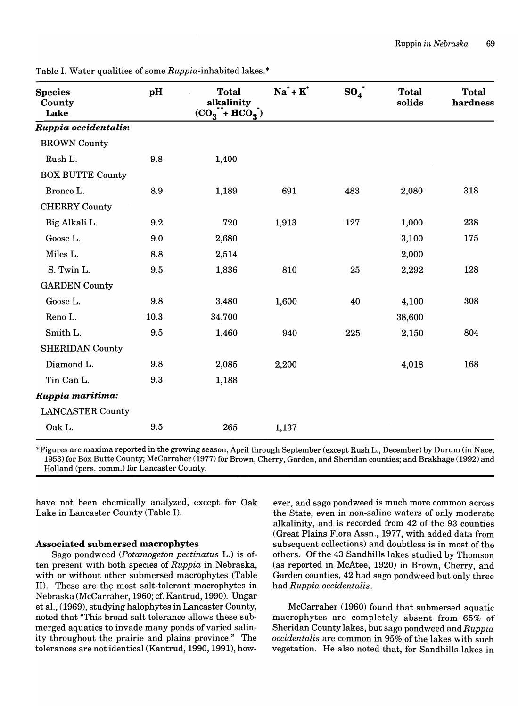| <b>Species</b><br>County<br>Lake | pH   | <b>Total</b><br>alkalinity<br>$(CO_3 + HCO_3)$ | $Na^+ + K^+$ | $SO_4$ | <b>Total</b><br>solids | <b>Total</b><br>hardness |
|----------------------------------|------|------------------------------------------------|--------------|--------|------------------------|--------------------------|
| Ruppia occidentalis:             |      |                                                |              |        |                        |                          |
| <b>BROWN County</b>              |      |                                                |              |        |                        |                          |
| Rush L.                          | 9.8  | 1,400                                          |              |        |                        |                          |
| <b>BOX BUTTE County</b>          |      |                                                |              |        |                        |                          |
| Bronco L.                        | 8.9  | 1,189                                          | 691          | 483    | 2,080                  | 318                      |
| <b>CHERRY County</b>             |      |                                                |              |        |                        |                          |
| Big Alkali L.                    | 9.2  | 720                                            | 1,913        | 127    | 1,000                  | 238                      |
| Goose L.                         | 9.0  | 2,680                                          |              |        | 3,100                  | 175                      |
| Miles L.                         | 8.8  | 2,514                                          |              |        | 2,000                  |                          |
| S. Twin L.                       | 9.5  | 1,836                                          | 810          | 25     | 2,292                  | 128                      |
| <b>GARDEN County</b>             |      |                                                |              |        |                        |                          |
| Goose L.                         | 9.8  | 3,480                                          | 1,600        | 40     | 4,100                  | 308                      |
| Reno L.                          | 10.3 | 34,700                                         |              |        | 38,600                 |                          |
| Smith L.                         | 9.5  | 1,460                                          | 940          | 225    | 2,150                  | 804                      |
| <b>SHERIDAN County</b>           |      |                                                |              |        |                        |                          |
| Diamond L.                       | 9.8  | 2,085                                          | 2,200        |        | 4,018                  | 168                      |
| Tin Can L.                       | 9.3  | 1,188                                          |              |        |                        |                          |
| Ruppia maritima:                 |      |                                                |              |        |                        |                          |
| <b>LANCASTER County</b>          |      |                                                |              |        |                        |                          |
| Oak L.                           | 9.5  | 265                                            | 1,137        |        |                        |                          |

Table I. Water qualities of some *Ruppia-*inhabited lakes. \*

\*Figures are maxima reported in the growing season, April through September (except Rush L., December) by Durum (in Nace, 1953) for Box Butte County; McCarraher (1977) for Brown, Cherry, Garden, and Sheridan counties; and Brakhage (1992) and Holland (pers. comm.) for Lancaster County.

have not been chemically analyzed, except for Oak Lake in Lancaster County (Table I).

# Associated submersed macrophytes

Sago pondweed *(Potamogeton pectinatus* L.) is often present with both species of *Ruppia* in Nebraska, with or without other submersed macrophytes (Table II). These are the most salt-tolerant macrophytes in Nebraska (McCarraher, 1960; cf. Kantrud, 1990). Ungar et aI., (1969), studying halophytes in Lancaster County, noted that "This broad salt tolerance allows these submerged aquatics to invade many ponds of varied salinity throughout the prairie and plains province." The tolerances are not identical (Kantrud, 1990, 1991), how-

ever, and sago pondweed is much more common across the State, even in non-saline waters of only moderate alkalinity, and is recorded from 42 of the 93 counties (Great Plains Flora Assn., 1977, with added data from subsequent collections) and doubtless is in most of the others. Of the 43 Sandhills lakes studied by Thomson (as reported in McAtee, 1920) in Brown, Cherry, and Garden counties, 42 had sago pondweed but only three had *Ruppia occidentalis.* 

McCarraher (1960) found that submersed aquatic macrophytes are completely absent from 65% of Sheridan County lakes, but sago pondweed and *Ruppia occidentalis* are common in 95% of the lakes with such vegetation. He also noted that, for Sandhills lakes in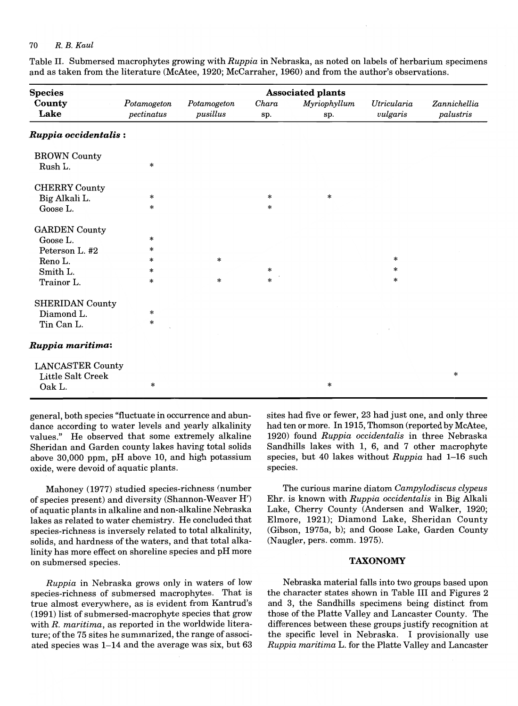## 70 *R. B. Kaul*

Table II. Submersed macrophytes growing with *Ruppia* in Nebraska, as noted on labels of herbarium specimens and as taken from the literature (McAtee, 1920; McCarraher, 1960) and from the author's observations.

| <b>Species</b>          | <b>Associated plants</b>  |                         |              |                     |                         |                           |  |  |
|-------------------------|---------------------------|-------------------------|--------------|---------------------|-------------------------|---------------------------|--|--|
| County<br>Lake          | Potamogeton<br>pectinatus | Potamogeton<br>pusillus | Chara<br>sp. | Myriophyllum<br>sp. | Utricularia<br>vulgaris | Zannichellia<br>palustris |  |  |
| Ruppia occidentalis:    |                           |                         |              |                     |                         |                           |  |  |
| <b>BROWN</b> County     |                           |                         |              |                     |                         |                           |  |  |
| Rush L.                 | $\ast$                    |                         |              |                     |                         |                           |  |  |
| <b>CHERRY County</b>    |                           |                         |              |                     |                         |                           |  |  |
| Big Alkali L.           | $\ast$                    |                         | $\ast$       | $\ast$              |                         |                           |  |  |
| Goose L.                | $\ast$                    |                         | $\ast$       |                     |                         |                           |  |  |
| <b>GARDEN</b> County    |                           |                         |              |                     |                         |                           |  |  |
| Goose L.                | $\ast$                    |                         |              |                     |                         |                           |  |  |
| Peterson L. #2          | $\ast$                    |                         |              |                     |                         |                           |  |  |
| Reno L.                 | *                         | $\ast$                  |              |                     | $\ast$                  |                           |  |  |
| Smith L.                | *                         |                         | $\ast$       |                     | $\ast$                  |                           |  |  |
| Trainor L.              | $\ast$                    | $\ast$                  | $\ast$       |                     | $\ast$                  |                           |  |  |
| SHERIDAN County         |                           |                         |              |                     |                         |                           |  |  |
| Diamond L.              | $\ast$                    |                         |              |                     |                         |                           |  |  |
| Tin Can L.              | $\ast$                    |                         |              |                     |                         |                           |  |  |
| Ruppia maritima:        |                           |                         |              |                     |                         |                           |  |  |
| <b>LANCASTER County</b> |                           |                         |              |                     |                         |                           |  |  |
| Little Salt Creek       |                           |                         |              |                     |                         | $\ast$                    |  |  |
| Oak L.                  | *                         |                         |              | $\ast$              |                         |                           |  |  |

general, both species "fluctuate in occurrence and abundance according to water levels and yearly alkalinity values." He observed that some extremely alkaline Sheridan and Garden county lakes having total solids above 30,000 ppm, pH above 10, and high potassium oxide, were devoid of aquatic plants.

Mahoney (1977) studied species-richness (number of species present) and diversity (Shannon-Weaver H') of aquatic plants in alkaline and non-alkaline Nebraska lakes as related to water chemistry. He concluded that species-richness is inversely related to total alkalinity, solids, and hardness of the waters, and that total alkalinity has more effect on shoreline species and pH more on submersed species.

*Ruppia* in Nebraska grows only in waters of low species-richness of submersed macrophytes. That is true almost everywhere, as is evident from Kantrud's (1991) list of submersed-macrophyte species that grow with *R. maritima,* as reported in the worldwide literature; of the 75 sites he summarized, the range of associated species was 1-14 and the average was six, but 63 sites had five or fewer, 23 had just one, and only three had ten or more. In 1915, Thomson (reported by McAtee, 1920) found *Ruppia occidentalis* in three Nebraska Sandhills lakes with 1, 6, and 7 other macrophyte species, but 40 lakes without *Ruppia* had 1-16 such species.

The curious marine diatom *Campylodiscus clypeus*  Ehr. is known with *Ruppia occidentalis* in Big Alkali Lake, Cherry County (Andersen and Walker, 1920; Elmore, 1921); Diamond Lake, Sheridan County (Gibson, 1975a, b); and Goose Lake, Garden County (Naugler, pers. comm. 1975).

#### TAXONOMY

Nebraska material falls into two groups based upon the character states shown in Table III and Figures 2 and 3, the Sandhills specimens being distinct from those of the Platte Valley and Lancaster County. The differences between these groups justify recognition at the specific level in Nebraska. I provisionally use *Ruppia maritima* L. for the Platte Valley and Lancaster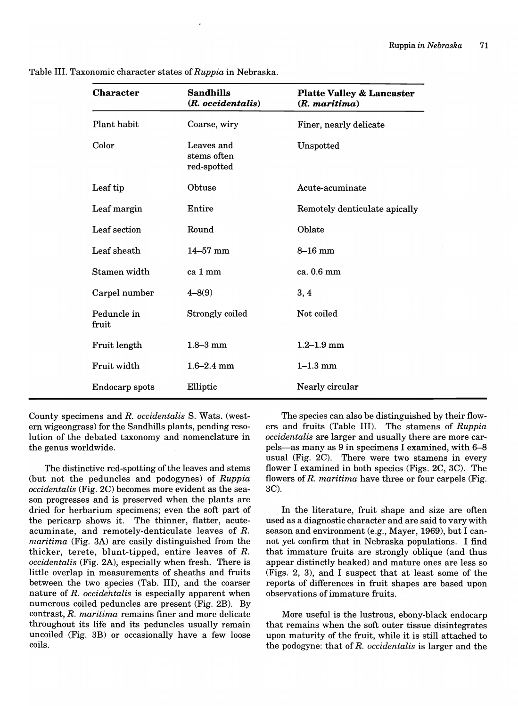| <b>Character</b>     | <b>Sandhills</b><br>(R. occidentalis)    | <b>Platte Valley &amp; Lancaster</b><br>$(R.$ maritima) |  |  |
|----------------------|------------------------------------------|---------------------------------------------------------|--|--|
| Plant habit          | Coarse, wiry                             | Finer, nearly delicate                                  |  |  |
| Color                | Leaves and<br>stems often<br>red-spotted | Unspotted                                               |  |  |
| Leaf tip             | Obtuse                                   | Acute-acuminate                                         |  |  |
| Leaf margin          | Entire                                   | Remotely denticulate apically                           |  |  |
| Leaf section         | Round                                    | Oblate                                                  |  |  |
| Leaf sheath          | $14 - 57$ mm                             | $8-16$ mm                                               |  |  |
| Stamen width         | ca 1 mm                                  | ca. 0.6 mm                                              |  |  |
| Carpel number        | $4 - 8(9)$                               | 3, 4                                                    |  |  |
| Peduncle in<br>fruit | Strongly coiled                          | Not coiled                                              |  |  |
| Fruit length         | $1.8 - 3$ mm                             | $1.2 - 1.9$ mm                                          |  |  |
| Fruit width          | $1.6 - 2.4$ mm                           | $1 - 1.3$ mm                                            |  |  |
| Endocarp spots       | Elliptic                                 | Nearly circular                                         |  |  |

Table III. Taxonomic character states of *Ruppia* in Nebraska.

County specimens and *R. occidentalis* S. Wats. (western wigeongrass) for the Sandhills plants, pending resolution of the debated taxonomy and nomenclature in the genus worldwide.

The distinctive red-spotting of the leaves and stems (but not the peduncles and podogynes) of *Ruppia occidentalis* (Fig. 2C) becomes more evident as the season progresses and is preserved when the plants are dried for herbarium specimens; even the soft part of the pericarp shows it. The thinner, flatter, acuteacuminate, and remotely-denticulate leaves of *R. maritima* (Fig. 3A) are easily distinguished from the thicker, terete, blunt-tipped, entire leaves of *R. occidentalis* (Fig. 2A), especially when fresh. There is little overlap in measurements of sheaths and fruits between the two species (Tab. III), and the coarser nature of *R. occidehtalis* is especially apparent when numerous coiled peduncles are present (Fig. 2B). By contrast, *R. maritima* remains finer and more delicate throughout its life and its peduncles usually remain uncoiled (Fig. 3B) or occasionally have a few loose coils.

The species can also be distinguished by their flowers and fruits (Table III). The stamens of *Ruppia occidentalis* are larger and usually there are more carpels-as many as 9 in specimens I examined, with 6-8 usual (Fig. 2C). There were two stamens in every flower I examined in both species (Figs. 2C, 3C). The flowers of *R. maritima* have three or four carpels (Fig. 3C).

In the literature, fruit shape and size are often used as a diagnostic character and are said to vary with season and environment (e.g., Mayer, 1969), but I cannot yet confirm that in Nebraska populations. I find that immature fruits are strongly oblique (and thus appear distinctly beaked) and mature ones are less so (Figs. 2, 3), and I suspect that at least some of the reports of differences in fruit shapes are based upon observations of immature fruits.

More useful is the lustrous, ebony-black endocarp that remains when the soft outer tissue disintegrates upon maturity of the fruit, while it is still attached to the podogyne: that of *R. occidentalis* is larger and the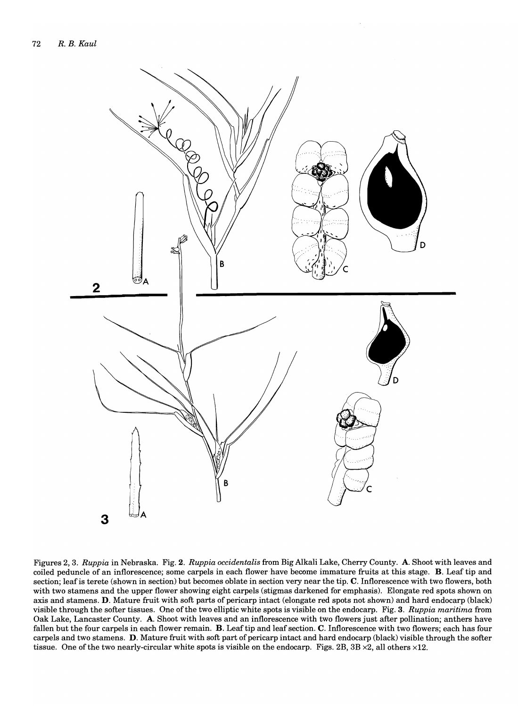

Figures 2, 3. *Ruppia* in Nebraska. Fig. 2. *Ruppia occidentalis* from Big Alkali Lake, Cherry County. A. Shoot with leaves and coiled peduncle of an inflorescence; some carpels in each flower have become immature fruits at this stage. B. Leaf tip and section; leafis terete (shown in section) but becomes oblate in section very near the tip. C. Inflorescence with two flowers, both with two stamens and the upper flower showing eight carpels (stigmas darkened for emphasis). Elongate red spots shown on axis and stamens. D. Mature fruit with soft parts of pericarp intact (elongate red spots not shown) and hard endocarp (black) visible through the softer tissues. One of the two elliptic white spots is visible on the endocarp. Fig. 3. *Ruppia maritima* from Oak Lake, Lancaster County. A. Shoot with leaves and an inflorescence with two flowers just after pollination; anthers have fallen but the four carpels in each flower remain. B. Leaf tip and leaf section. C. Inflorescence with two flowers; each has four carpels and two stamens. D. Mature fruit with soft part of pericarp intact and hard endocarp (black) visible through the softer tissue. One of the two nearly-circular white spots is visible on the endocarp. Figs. 2B,  $3B \times 2$ , all others  $\times 12$ .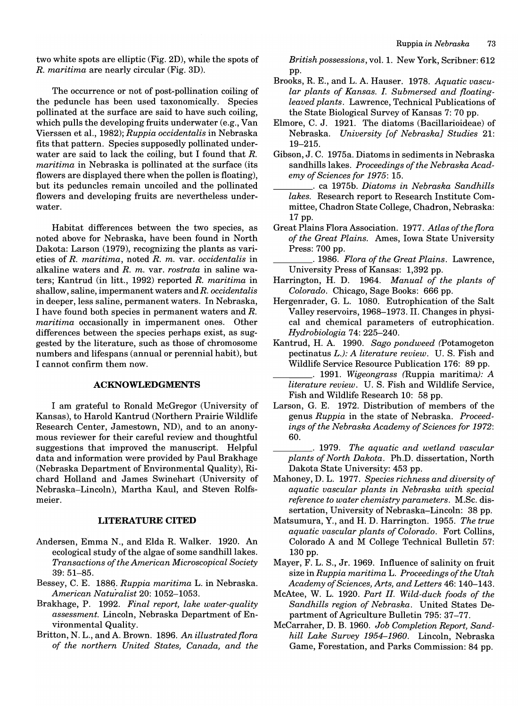two white spots are elliptic (Fig. 2D), while the spots of *R. maritima* are nearly circular (Fig. 3D).

The occurrence or not of post-pollination coiling of the peduncle has been used taxonomically. Species pollinated at the surface are said to have such coiling, which pulls the developing fruits underwater (e.g., Van Viers sen et aI., 1982); *Ruppia occidentalis* in Nebraska fits that pattern. Species supposedly pollinated underwater are said to lack the coiling, but I found that *R. maritima* in Nebraska is pollinated at the surface (its flowers are displayed there when the pollen is floating), but its peduncles remain uncoiled and the pollinated flowers and developing fruits are nevertheless underwater.

Habitat differences between the two species, as noted above for Nebraska, have been found in North Dakota: Larson (1979), recognizing the plants as varieties of *R. maritima,* noted *R. m.* var. *occidentalis* in alkaline waters and *R. m.* var. *rostrata* in saline waters; Kantrud (in litt., 1992) reported *R. maritima* in shallow, saline, impermanent waters andR. *occidentalis*  in deeper, less saline, permanent waters. In Nebraska, I have found both species in permanent waters and *R. maritima* occasionally in impermanent ones. Other differences between the species perhaps exist, as suggested by the literature, such as those of chromosome numbers and lifespans (annual or perennial habit), but I cannot confirm them now.

#### **ACKNOWLEDGMENTS**

I am grateful to Ronald McGregor (University of Kansas), to Harold Kantrud (Northern Prairie Wildlife Research Center, Jamestown, ND), and to an anonymous reviewer for their careful review and thoughtful suggestions that improved the manuscript. Helpful data and information were provided by Paul Brakhage (Nebraska Department of Environmental Quality), Richard Holland and James Swinehart (University of Nebraska-Lincoln), Martha Kaul, and Steven Rolfsmeier.

#### **LITERATURE CITED**

- Andersen, Emma N., and Elda R. Walker. 1920. An ecological study of the algae of some sandhill lakes. *Transactions of the American Microscopical Society*  39: 51-85.
- Bessey, C. E. 1886. *Ruppia maritima* L. in Nebraska. *American Naturalist* 20: 1052-1053.
- Brakhage, P. 1992. *Final report, lake water-quality assessment.* Lincoln, Nebraska Department of Environmental Quality.
- Britton, N. L., and A. Brown. 1896. *An illustrated flora of the northern United States, Canada, and the*

*British possessions,* vol. 1. New York, Scribner: 612 pp.

- Brooks, R. E., and L. A. Hauser. 1978. *Aquatic vascular plants of Kansas.* 1. *Submersed and floatingleaved plants.* Lawrence, Technical Publications of the State Biological Survey of Kansas 7: 70 pp.
- Elmore, C. J. 1921. The diatoms (Bacillarioideae) of Nebraska. *University [of Nebraska} Studies 21:*  19-215.
- Gibson, J. C. 1975a. Diatoms in sediments in Nebraska sandhills lakes. *Proceedings of the Nebraska Academy of Sciences for* 1975: 15.
	- \_\_\_\_ . ca 1975b. *Diatoms in Nebraska Sandhills lakes.* Research report to Research Institute Committee, Chadron State College, Chadron, Nebraska: 17 pp.
- Great Plains Flora Association. 1977. *Atlas of the flora of the Great Plains.* Ames, Iowa State University Press: 700 pp.

*\_\_\_\_ .1986. Flora of the Great Plains.* Lawrence, University Press of Kansas: 1,392 pp.

- Harrington, H. D. 1964. *Manual of the plants of Colorado.* Chicago, Sage Books: 666 pp.
- Hergenrader, G. L. 1080. Eutrophication of the Salt Valley reservoirs, 1968-1973. II. Changes in physical and chemical parameters of eutrophication. *Hydrobiologia* 74: 225-240.
- Kantrud, H. A. 1990. *Sago pondweed* (Potamogeton pectinatus L.): *A literature review.* U. S. Fish and Wildlife Service Resource Publication 176: 89 pp.
- \_\_\_\_ . 1991. *Wigeongrass* (Ruppia maritima): *<sup>A</sup> literature review.* U. S. Fish and Wildlife Service, Fish and Wildlife Research 10: 58 pp.
- Larson, G. E. 1972. Distribution of members of the genus *Ruppia* in the state of Nebraska. *Proceedings of the Nebraska Academy of Sciences for 1972:*  60.
- \_\_\_\_ . 1979. *The aquatic and wetland vascular plants of North Dakota.* Ph.D. dissertation, North Dakota State University: 453 pp.
- Mahoney, D. L. 1977. *Species richness and diversity of aquatic vascular plants in Nebraska with special reference to water chemistry parameters.* M.Sc. dissertation, University of Nebraska-Lincoln: 38 pp.
- Matsumura, Y., and H. D. Harrington. 1955. *The true aquatic vascular plants of Colorado.* Fort Collins, Colorado A and M College Technical Bulletin 57: 130 pp.
- Mayer, F. L. S., Jr. 1969. Influence of salinity on fruit size in *Ruppia maritima* L. *Proceedings of the Utah Academy of Sciences, Arts, and Letters* 46: 140-143.
- McAtee, W. L. 1920. *Part* II. *Wild-duck foods of the Sandhills region of Nebraska.* United States Department of Agriculture Bulletin 795: 37-77.
- McCarraher, D. B. 1960. *Job Completion Report, Sandhill Lake Survey 1954-1960.* Lincoln, Nebraska Game, Forestation, and Parks Commission: 84 pp.